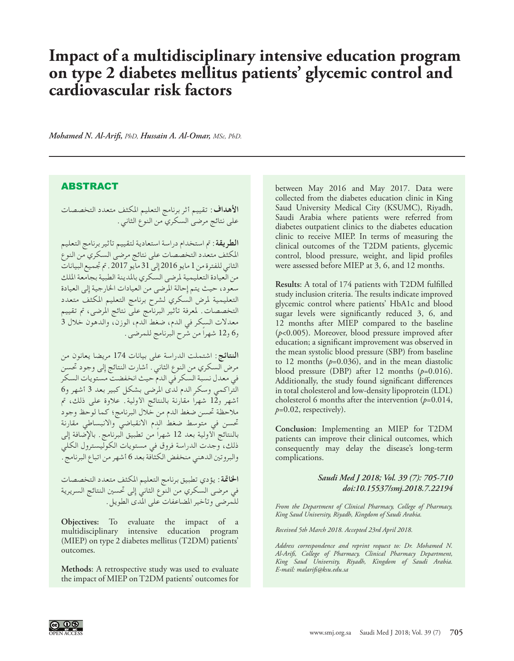## **Impact of a multidisciplinary intensive education program on type 2 diabetes mellitus patients' glycemic control and cardiovascular risk factors**

*Mohamed N. Al-Arifi, PhD, Hussain A. Al-Omar, MSc, PhD.*

## **ABSTRACT**

**األهداف**: تقييم أثر برنامج التعليم املكثف متعدد التخصصات على نتائج مرضى السكري من النوع الثاني.

**الطريقة**: مت استخدام دراسة استعادية لتقييم تأثير برنامج التعليم املكثف متعدد التخصصات على نتائج مرضى السكري من النوع الثاني للفترة من 1 مايو 2016 إلى 31 مايو 2017 . تم تجميع البيانات من العيادة التعليمية لمرضى السكري بالمدينة الطبية بجامعة الملك سعود، حيث يتم إحالة املرضى من العيادات اخلارجية إلى العيادة التعليمية ملرض السكري لشرح برنامج التعليم املكثف متعدد التخصصات. ملعرفة تأثير البرنامج على نتائج املرضى، مت تقييم معدالت السكر في الدم، ضغط الدم، الوزن، والدهون خالل 3 و6 و12 شهراً من شرح البرنامج للمرضى.

**النتائج**: اشتملت الدراسة على بيانات 174 مريضا يعانون من مرض السكري من النوع الثاني. أشارت النتائج إلى وجود حتسن في معدل نسبة السكر في الدم حيث انخفضت مستويات السكر التراكمي وسكر الدم لدى املرضى بشكل كبير بعد 3 أشهر و6 أشهر و12 شهراً مقارنة بالنتائج الأولية. علاوة على ذلك، تم مالحظة حتسن ضغط الدم من خالل البرنامج؛ كما لوحظ وجود حتسن في متوسط ضغط الدم االنقباضي واالنبساطي مقارنة بالنتائج األولية بعد 12 شهراً من تطبيق البرنامج. باإلضافة إلى ذلك، وجدت الدراسة فروق في مستويات الكوليسترول الكلي والبروتني الدهني منخفض الكثافة بعد 6 أشهر من اتباع البرنامج.

**اخلامتة**: يؤدي تطبيق برنامج التعليم املكثف متعدد التخصصات في مرضى السكري من النوع الثاني إلى حتسني النتائج السريرية للمرضى وتأخير املضاعفات على املدى الطويل.

**Objectives:** To evaluate the impact of a multidisciplinary intensive education program (MIEP) on type 2 diabetes mellitus (T2DM) patients' outcomes.

**Methods**: A retrospective study was used to evaluate the impact of MIEP on T2DM patients' outcomes for between May 2016 and May 2017. Data were collected from the diabetes education clinic in King Saud University Medical City (KSUMC), Riyadh, Saudi Arabia where patients were referred from diabetes outpatient clinics to the diabetes education clinic to receive MIEP. In terms of measuring the clinical outcomes of the T2DM patients, glycemic control, blood pressure, weight, and lipid profiles were assessed before MIEP at 3, 6, and 12 months.

**Results**: A total of 174 patients with T2DM fulfilled study inclusion criteria. The results indicate improved glycemic control where patients' HbA1c and blood sugar levels were significantly reduced 3, 6, and 12 months after MIEP compared to the baseline (*p*<0.005). Moreover, blood pressure improved after education; a significant improvement was observed in the mean systolic blood pressure (SBP) from baseline to 12 months  $(p=0.036)$ , and in the mean diastolic blood pressure (DBP) after 12 months (*p*=0.016). Additionally, the study found significant differences in total cholesterol and low-density lipoprotein (LDL) cholesterol 6 months after the intervention (*p*=0.014, *p*=0.02, respectively).

**Conclusion**: Implementing an MIEP for T2DM patients can improve their clinical outcomes, which consequently may delay the disease's long-term complications.

## *Saudi Med J 2018; Vol. 39 (7): 705-710 doi:10.15537/smj.2018.7.22194*

*From the Department of Clinical Pharmacy, College of Pharmacy, King Saud University, Riyadh, Kingdom of Saudi Arabia.*

*Received 5th March 2018. Accepted 23rd April 2018.*

*Address correspondence and reprint request to: Dr. Mohamed N. Al-Arifi, College of Pharmacy, Clinical Pharmacy Department, King Saud University, Riyadh, Kingdom of Saudi Arabia. E-mail: malarifi@ksu.edu.sa*

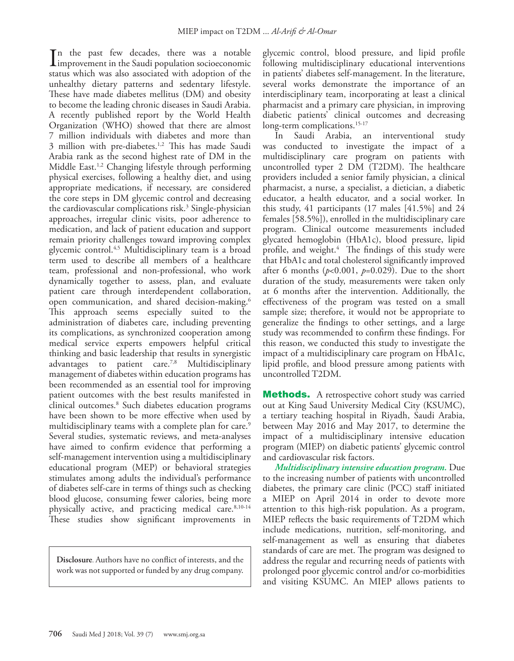In the past few decades, there was a notable<br>improvement in the Saudi population socioeconomic<br>status which was also esserinted with adoption of the In the past few decades, there was a notable status which was also associated with adoption of the unhealthy dietary patterns and sedentary lifestyle. These have made diabetes mellitus (DM) and obesity to become the leading chronic diseases in Saudi Arabia. A recently published report by the World Health Organization (WHO) showed that there are almost 7 million individuals with diabetes and more than 3 million with pre-diabetes[.1](#page-5-0)[,2](#page-5-1) This has made Saudi Arabia rank as the second highest rate of DM in the Middle East.[1](#page-5-0),[2](#page-5-1) Changing lifestyle through performing physical exercises, following a healthy diet, and using appropriate medications, if necessary, are considered the core steps in DM glycemic control and decreasing the cardiovascular complications risk[.3](#page-5-2) Single-physician approaches, irregular clinic visits, poor adherence to medication, and lack of patient education and support remain priority challenges toward improving complex glycemic control[.4](#page-5-3)[,5](#page-5-4) Multidisciplinary team is a broad term used to describe all members of a healthcare team, professional and non-professional, who work dynamically together to assess, plan, and evaluate patient care through interdependent collaboration, open communication, and shared decision-making[.6](#page-5-5) This approach seems especially suited to the administration of diabetes care, including preventing its complications, as synchronized cooperation among medical service experts empowers helpful critical thinking and basic leadership that results in synergistic advantages to patient care.[7](#page-5-6),[8](#page-5-7) Multidisciplinary management of diabetes within education programs has been recommended as an essential tool for improving patient outcomes with the best results manifested in clinical outcomes[.8](#page-5-7) Such diabetes education programs have been shown to be more effective when used by multidisciplinary teams with a complete plan for care.<sup>9</sup> Several studies, systematic reviews, and meta-analyses have aimed to confirm evidence that performing a self-management intervention using a multidisciplinary educational program (MEP) or behavioral strategies stimulates among adults the individual's performance of diabetes self-care in terms of things such as checking blood glucose, consuming fewer calories, being more physically active, and practicing medical care.<sup>[8](#page-5-7),[10](#page-5-9)[-14](#page-5-10)</sup> These studies show significant improvements in

**Disclosure**. Authors have no conflict of interests, and the work was not supported or funded by any drug company. glycemic control, blood pressure, and lipid profile following multidisciplinary educational interventions in patients' diabetes self-management. In the literature, several works demonstrate the importance of an interdisciplinary team, incorporating at least a clinical pharmacist and a primary care physician, in improving diabetic patients' clinical outcomes and decreasing long-term complications.<sup>15-[17](#page-5-12)</sup>

In Saudi Arabia, an interventional study was conducted to investigate the impact of a multidisciplinary care program on patients with uncontrolled typer 2 DM (T2DM). The healthcare providers included a senior family physician, a clinical pharmacist, a nurse, a specialist, a dietician, a diabetic educator, a health educator, and a social worker. In this study, 41 participants (17 males [41.5%] and 24 females [58.5%]), enrolled in the multidisciplinary care program. Clinical outcome measurements included glycated hemoglobin (HbA1c), blood pressure, lipid profile, and weight.<sup>[4](#page-5-3)</sup> The findings of this study were that HbA1c and total cholesterol significantly improved after 6 months  $(p<0.001, p=0.029)$ . Due to the short duration of the study, measurements were taken only at 6 months after the intervention. Additionally, the effectiveness of the program was tested on a small sample size; therefore, it would not be appropriate to generalize the findings to other settings, and a large study was recommended to confirm these findings. For this reason, we conducted this study to investigate the impact of a multidisciplinary care program on HbA1c, lipid profile, and blood pressure among patients with uncontrolled T2DM.

**Methods.** A retrospective cohort study was carried out at King Saud University Medical City (KSUMC), a tertiary teaching hospital in Riyadh, Saudi Arabia, between May 2016 and May 2017, to determine the impact of a multidisciplinary intensive education program (MIEP) on diabetic patients' glycemic control and cardiovascular risk factors.

*Multidisciplinary intensive education program.* Due to the increasing number of patients with uncontrolled diabetes, the primary care clinic (PCC) staff initiated a MIEP on April 2014 in order to devote more attention to this high-risk population. As a program, MIEP reflects the basic requirements of T2DM which include medications, nutrition, self-monitoring, and self-management as well as ensuring that diabetes standards of care are met. The program was designed to address the regular and recurring needs of patients with prolonged poor glycemic control and/or co-morbidities and visiting KSUMC. An MIEP allows patients to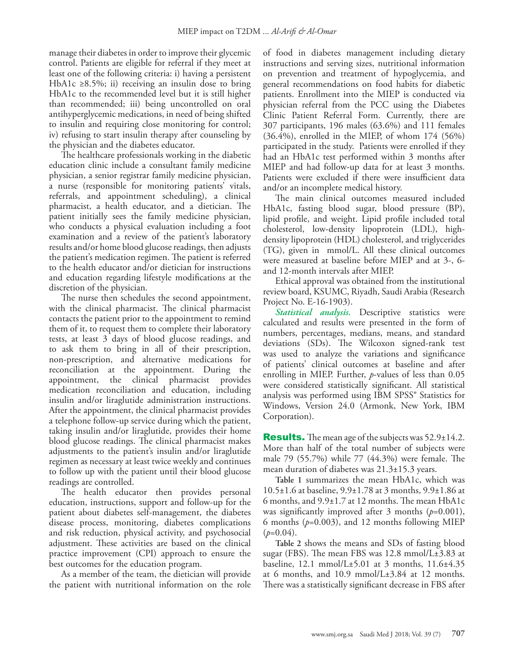manage their diabetes in order to improve their glycemic control. Patients are eligible for referral if they meet at least one of the following criteria: i) having a persistent HbA1c ≥8.5%; ii) receiving an insulin dose to bring HbA1c to the recommended level but it is still higher than recommended; iii) being uncontrolled on oral antihyperglycemic medications, in need of being shifted to insulin and requiring close monitoring for control; iv) refusing to start insulin therapy after counseling by the physician and the diabetes educator.

The healthcare professionals working in the diabetic education clinic include a consultant family medicine physician, a senior registrar family medicine physician, a nurse (responsible for monitoring patients' vitals, referrals, and appointment scheduling), a clinical pharmacist, a health educator, and a dietician. The patient initially sees the family medicine physician, who conducts a physical evaluation including a foot examination and a review of the patient's laboratory results and/or home blood glucose readings, then adjusts the patient's medication regimen. The patient is referred to the health educator and/or dietician for instructions and education regarding lifestyle modifications at the discretion of the physician.

The nurse then schedules the second appointment, with the clinical pharmacist. The clinical pharmacist contacts the patient prior to the appointment to remind them of it, to request them to complete their laboratory tests, at least 3 days of blood glucose readings, and to ask them to bring in all of their prescription, non-prescription, and alternative medications for reconciliation at the appointment. During the appointment, the clinical pharmacist provides medication reconciliation and education, including insulin and/or liraglutide administration instructions. After the appointment, the clinical pharmacist provides a telephone follow-up service during which the patient, taking insulin and/or liraglutide, provides their home blood glucose readings. The clinical pharmacist makes adjustments to the patient's insulin and/or liraglutide regimen as necessary at least twice weekly and continues to follow up with the patient until their blood glucose readings are controlled.

The health educator then provides personal education, instructions, support and follow-up for the patient about diabetes self-management, the diabetes disease process, monitoring, diabetes complications and risk reduction, physical activity, and psychosocial adjustment. These activities are based on the clinical practice improvement (CPI) approach to ensure the best outcomes for the education program.

As a member of the team, the dietician will provide the patient with nutritional information on the role of food in diabetes management including dietary instructions and serving sizes, nutritional information on prevention and treatment of hypoglycemia, and general recommendations on food habits for diabetic patients. Enrollment into the MIEP is conducted via physician referral from the PCC using the Diabetes Clinic Patient Referral Form. Currently, there are 307 participants, 196 males (63.6%) and 111 females (36.4%), enrolled in the MIEP, of whom 174 (56%) participated in the study. Patients were enrolled if they had an HbA1c test performed within 3 months after MIEP and had follow-up data for at least 3 months. Patients were excluded if there were insufficient data and/or an incomplete medical history.

The main clinical outcomes measured included HbA1c, fasting blood sugar, blood pressure (BP), lipid profile, and weight. Lipid profile included total cholesterol, low-density lipoprotein (LDL), highdensity lipoprotein (HDL) cholesterol, and triglycerides (TG), given in mmol/L. All these clinical outcomes were measured at baseline before MIEP and at 3-, 6 and 12-month intervals after MIEP.

Ethical approval was obtained from the institutional review board, KSUMC, Riyadh, Saudi Arabia (Research Project No. E-16-1903).

*Statistical analysis.* Descriptive statistics were calculated and results were presented in the form of numbers, percentages, medians, means, and standard deviations (SDs). The Wilcoxon signed-rank test was used to analyze the variations and significance of patients' clinical outcomes at baseline and after enrolling in MIEP. Further, *p*-values of less than 0.05 were considered statistically significant. All statistical analysis was performed using IBM SPSS® Statistics for Windows, Version 24.0 (Armonk, New York, IBM Corporation).

**Results.** The mean age of the subjects was 52.9±14.2. More than half of the total number of subjects were male 79 (55.7%) while 77 (44.3%) were female. The mean duration of diabetes was 21.3±15.3 years.

**Table 1** summarizes the mean HbA1c, which was 10.5±1.6 at baseline, 9.9±1.78 at 3 months, 9.9±1.86 at 6 months, and 9.9±1.7 at 12 months. The mean HbA1c was significantly improved after 3 months ( $p=0.001$ ), 6 months  $(p=0.003)$ , and 12 months following MIEP  $(p=0.04)$ .

**Table 2** shows the means and SDs of fasting blood sugar (FBS). The mean FBS was 12.8 mmol/L±3.83 at baseline, 12.1 mmol/L±5.01 at 3 months, 11.6±4.35 at 6 months, and 10.9 mmol/L±3.84 at 12 months. There was a statistically significant decrease in FBS after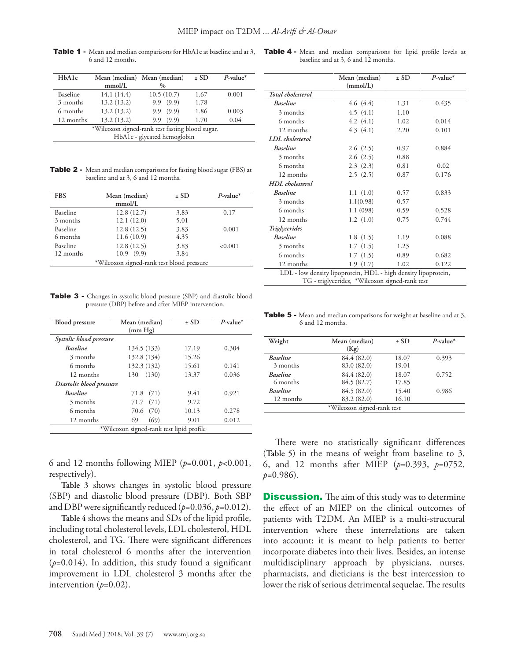| HbA1c           | mmol/L     | Mean (median) Mean (median)<br>$\%$             | $\pm$ SD | $P$ -value <sup>*</sup> |
|-----------------|------------|-------------------------------------------------|----------|-------------------------|
| <b>Baseline</b> | 14.1(14.4) | 10.5(10.7)                                      | 1.67     | 0.001                   |
| 3 months        | 13.2(13.2) | (9.9)<br>9.9                                    | 1.78     |                         |
| 6 months        | 13.2(13.2) | (9.9)<br>9.9                                    | 1.86     | 0.003                   |
| 12 months       | 13.2(13.2) | 9.9(9.9)                                        | 1.70     | 0.04                    |
|                 |            | *Wilcoxon signed-rank test fasting blood sugar, |          |                         |
|                 |            | HbA1c - glycated hemoglobin                     |          |                         |

6 and 12 months.

Table 1 - Mean and median comparisons for HbA1c at baseline and at 3, Table 4 - Mean and median comparisons for lipid profile levels at baseline and at 3, 6 and 12 months.

|  | <b>Table 2</b> - Mean and median comparisons for fasting blood sugar (FBS) at |
|--|-------------------------------------------------------------------------------|
|  | baseline and at 3, 6 and 12 months.                                           |

| <b>FBS</b>      | Mean (median)<br>mmol/L                   | $\pm$ SD | $P$ -value* |
|-----------------|-------------------------------------------|----------|-------------|
| <b>Baseline</b> | 12.8(12.7)                                | 3.83     | 0.17        |
| 3 months        | 12.1(12.0)                                | 5.01     |             |
| Baseline        | 12.8(12.5)                                | 3.83     | 0.001       |
| 6 months        | 11.6(10.9)                                | 4.35     |             |
| Baseline        | 12.8(12.5)                                | 3.83     | < 0.001     |
| 12 months       | 10.9(9.9)                                 | 3.84     |             |
|                 | *Wilcoxon signed-rank test blood pressure |          |             |

Table 3 - Changes in systolic blood pressure (SBP) and diastolic blood pressure (DBP) before and after MIEP intervention.

| <b>Blood</b> pressure    | Mean (median)<br>(mm Hg)                 | $\pm$ SD | $P$ -value* |
|--------------------------|------------------------------------------|----------|-------------|
| Systolic blood pressure  |                                          |          |             |
| <b>Baseline</b>          | 134.5 (133)                              | 17.19    | 0.304       |
| 3 months                 | 132.8 (134)                              | 15.26    |             |
| 6 months                 | 132.3 (132)                              | 15.61    | 0.141       |
| 12 months                | (130)<br>130                             | 13.37    | 0.036       |
| Diastolic blood pressure |                                          |          |             |
| <b>Baseline</b>          | 71.8<br>(71)                             | 9.41     | 0.921       |
| 3 months                 | 71.7 (71)                                | 9.72     |             |
| 6 months                 | 70.6<br>(70)                             | 10.13    | 0.278       |
| 12 months                | 69<br>(69)                               | 9.01     | 0.012       |
|                          | *Wilcoxon signed-rank test lipid profile |          |             |

6 and 12 months following MIEP (*p*=0.001, *p*<0.001, respectively).

**Table 3** shows changes in systolic blood pressure (SBP) and diastolic blood pressure (DBP). Both SBP and DBP were significantly reduced (*p*=0.036, *p*=0.012).

**Table 4** shows the means and SDs of the lipid profile, including total cholesterol levels, LDL cholesterol, HDL cholesterol, and TG. There were significant differences in total cholesterol 6 months after the intervention  $(p=0.014)$ . In addition, this study found a significant improvement in LDL cholesterol 3 months after the intervention (*p*=0.02).

|                   | Mean (median)<br>(mmol/L)                                                                                        | $\pm$ SD | $P$ -value <sup>*</sup> |
|-------------------|------------------------------------------------------------------------------------------------------------------|----------|-------------------------|
| Total cholesterol |                                                                                                                  |          |                         |
| <b>Baseline</b>   | 4.6(4.4)                                                                                                         | 1.31     | 0.435                   |
| 3 months          | 4.5(4.1)                                                                                                         | 1.10     |                         |
| 6 months          | 4.2(4.1)                                                                                                         | 1.02     | 0.014                   |
| 12 months         | 4.3(4.1)                                                                                                         | 2.20     | 0.101                   |
| LDL cholesterol   |                                                                                                                  |          |                         |
| <b>Baseline</b>   | 2.6(2.5)                                                                                                         | 0.97     | 0.884                   |
| 3 months          | 2.6(2.5)                                                                                                         | 0.88     |                         |
| 6 months          | 2.3(2.3)                                                                                                         | 0.81     | 0.02                    |
| 12 months         | 2.5(2.5)                                                                                                         | 0.87     | 0.176                   |
| HDL cholesterol   |                                                                                                                  |          |                         |
| <b>Raseline</b>   | 1.1(1.0)                                                                                                         | 0.57     | 0.833                   |
| 3 months          | 1.1(0.98)                                                                                                        | 0.57     |                         |
| 6 months          | 1.1(098)                                                                                                         | 0.59     | 0.528                   |
| 12 months         | 1.2(1.0)                                                                                                         | 0.75     | 0.744                   |
| Triglycerides     |                                                                                                                  |          |                         |
| <b>Raseline</b>   | 1.8(1.5)                                                                                                         | 1.19     | 0.088                   |
| 3 months          | 1.7(1.5)                                                                                                         | 1.23     |                         |
| 6 months          | 1.7(1.5)                                                                                                         | 0.89     | 0.682                   |
| 12 months         | 1.9(1.7)                                                                                                         | 1.02     | 0.122                   |
|                   | LDL - low density lipoprotein, HDL - high density lipoprotein,<br>TG - triglycerides, *Wilcoxon signed-rank test |          |                         |

Table 5 - Mean and median comparisons for weight at baseline and at 3, 6 and 12 months.

| Weight          | Mean (median)              | $\pm$ SD | $P$ -value* |
|-----------------|----------------------------|----------|-------------|
|                 | (Kg)                       |          |             |
| <b>Baseline</b> | 84.4 (82.0)                | 18.07    | 0.393       |
| 3 months        | 83.0 (82.0)                | 19.01    |             |
| <b>Baseline</b> | 84.4 (82.0)                | 18.07    | 0.752       |
| 6 months        | 84.5 (82.7)                | 17.85    |             |
| <b>Baseline</b> | 84.5 (82.0)                | 15.40    | 0.986       |
| 12 months       | 83.2 (82.0)                | 16.10    |             |
|                 | *Wilcoxon signed-rank test |          |             |

There were no statistically significant differences (**Table 5**) in the means of weight from baseline to 3, 6, and 12 months after MIEP (*p*=0.393, *p*=0752, *p*=0.986).

**Discussion.** The aim of this study was to determine the effect of an MIEP on the clinical outcomes of patients with T2DM. An MIEP is a multi-structural intervention where these interrelations are taken into account; it is meant to help patients to better incorporate diabetes into their lives. Besides, an intense multidisciplinary approach by physicians, nurses, pharmacists, and dieticians is the best intercession to lower the risk of serious detrimental sequelae. The results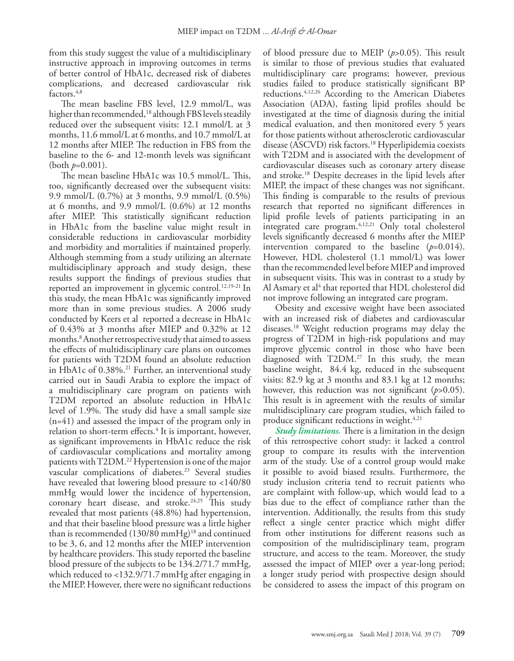from this study suggest the value of a multidisciplinary instructive approach in improving outcomes in terms of better control of HbA1c, decreased risk of diabetes complications, and decreased cardiovascular risk factors.<sup>4,[8](#page-5-7)</sup>

The mean baseline FBS level, 12.9 mmol/L, was higher than recommended,<sup>18</sup> although FBS levels steadily reduced over the subsequent visits: 12.1 mmol/L at 3 months, 11.6 mmol/L at 6 months, and 10.7 mmol/L at 12 months after MIEP. The reduction in FBS from the baseline to the 6- and 12-month levels was significant (both *p*=0.001).

The mean baseline HbA1c was 10.5 mmol/L. This, too, significantly decreased over the subsequent visits: 9.9 mmol/L (0.7%) at 3 months, 9.9 mmol/L (0.5%) at 6 months, and 9.9 mmol/L (0.6%) at 12 months after MIEP. This statistically significant reduction in HbA1c from the baseline value might result in considerable reductions in cardiovascular morbidity and morbidity and mortalities if maintained properly. Although stemming from a study utilizing an alternate multidisciplinary approach and study design, these results support the findings of previous studies that reported an improvement in glycemic control[.12,](#page-5-14)[19-](#page-5-15)[21](#page-5-16) In this study, the mean HbA1c was significantly improved more than in some previous studies. A 2006 study conducted by Keers et al reported a decrease in HbA1c of 0.43% at 3 months after MIEP and 0.32% at 12 months.[8](#page-5-7) Another retrospective study that aimed to assess the effects of multidisciplinary care plans on outcomes for patients with T2DM found an absolute reduction in HbA1c of 0.38%.<sup>21</sup> Further, an interventional study carried out in Saudi Arabia to explore the impact of a multidisciplinary care program on patients with T2DM reported an absolute reduction in HbA1c level of 1.9%. The study did have a small sample size (n=41) and assessed the impact of the program only in relation to short-term effects.<sup>4</sup> It is important, however, as significant improvements in HbA1c reduce the risk of cardiovascular complications and mortality among patients with T2DM[.22](#page-5-17) Hypertension is one of the major vascular complications of diabetes.<sup>23</sup> Several studies have revealed that lowering blood pressure to <140/80 mmHg would lower the incidence of hypertension, coronary heart disease, and stroke.<sup>24,25</sup> This study revealed that most patients (48.8%) had hypertension, and that their baseline blood pressure was a little higher than is recommended  $(130/80 \text{ mmHg})^{18}$  $(130/80 \text{ mmHg})^{18}$  $(130/80 \text{ mmHg})^{18}$  and continued to be 3, 6, and 12 months after the MIEP intervention by healthcare providers. This study reported the baseline blood pressure of the subjects to be 134.2/71.7 mmHg, which reduced to <132.9/71.7 mmHg after engaging in the MIEP. However, there were no significant reductions

of blood pressure due to MEIP (*p*>0.05). This result is similar to those of previous studies that evaluated multidisciplinary care programs; however, previous studies failed to produce statistically significant BP reductions.[4](#page-5-3),[12](#page-5-14),[26](#page-5-21) According to the American Diabetes Association (ADA), fasting lipid profiles should be investigated at the time of diagnosis during the initial medical evaluation, and then monitored every 5 years for those patients without atherosclerotic cardiovascular disease (ASCVD) risk factors.[18](#page-5-13) Hyperlipidemia coexists with T2DM and is associated with the development of cardiovascular diseases such as coronary artery disease and stroke.[18](#page-5-13) Despite decreases in the lipid levels after MIEP, the impact of these changes was not significant. This finding is comparable to the results of previous research that reported no significant differences in lipid profile levels of patients participating in an integrated care program.[4](#page-5-3),[12](#page-5-14),[21](#page-5-16) Only total cholesterol levels significantly decreased 6 months after the MIEP intervention compared to the baseline  $(p=0.014)$ . However, HDL cholesterol (1.1 mmol/L) was lower than the recommended level before MIEP and improved in subsequent visits. This was in contrast to a study by Al Asmary et al<sup>[4](#page-5-3)</sup> that reported that HDL cholesterol did not improve following an integrated care program.

Obesity and excessive weight have been associated with an increased risk of diabetes and cardiovascular diseases.[18](#page-5-13) Weight reduction programs may delay the progress of T2DM in high-risk populations and may improve glycemic control in those who have been diagnosed with T2DM.<sup>27</sup> In this study, the mean baseline weight, 84.4 kg, reduced in the subsequent visits: 82.9 kg at 3 months and 83.1 kg at 12 months; however, this reduction was not significant (*p*>0.05). This result is in agreement with the results of similar multidisciplinary care program studies, which failed to produce significant reductions in weight. $4,21$  $4,21$  $4,21$ 

*Study limitations.* There is a limitation in the design of this retrospective cohort study: it lacked a control group to compare its results with the intervention arm of the study. Use of a control group would make it possible to avoid biased results. Furthermore, the study inclusion criteria tend to recruit patients who are complaint with follow-up, which would lead to a bias due to the effect of compliance rather than the intervention. Additionally, the results from this study reflect a single center practice which might differ from other institutions for different reasons such as composition of the multidisciplinary team, program structure, and access to the team. Moreover, the study assessed the impact of MIEP over a year-long period; a longer study period with prospective design should be considered to assess the impact of this program on